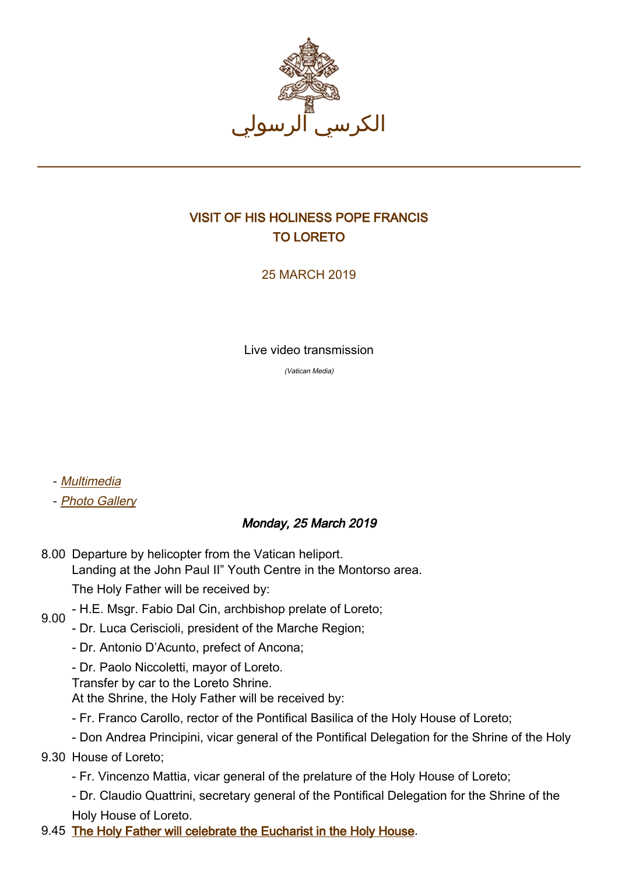

## VISIT OF HIS HOLINESS POPE FRANCIS TO LORETO

25 MARCH 2019

Live video transmission

(Vatican Media)

- [Multimedia](http://w2.vatican.va/content/francesco/ar/events/event.dir.html/content/vaticanevents/ar/2019/3/25/visita-loreto.html)
- [Photo Gallery](http://www.photogallery.va/content/photogallery/ar/eventi/loreto2019.html)

## Monday, 25 March 2019

- 8.00 Departure by helicopter from the Vatican heliport. Landing at the John Paul II" Youth Centre in the Montorso area. The Holy Father will be received by:
- 9.00 - H.E. Msgr. Fabio Dal Cin, archbishop prelate of Loreto;
- Dr. Luca Ceriscioli, president of the Marche Region;
	- Dr. Antonio D'Acunto, prefect of Ancona;
	- Dr. Paolo Niccoletti, mayor of Loreto.
	- Transfer by car to the Loreto Shrine.
	- At the Shrine, the Holy Father will be received by:
	- Fr. Franco Carollo, rector of the Pontifical Basilica of the Holy House of Loreto;
	- Don Andrea Principini, vicar general of the Pontifical Delegation for the Shrine of the Holy
- 9.30 House of Loreto;
	- Fr. Vincenzo Mattia, vicar general of the prelature of the Holy House of Loreto;
	- Dr. Claudio Quattrini, secretary general of the Pontifical Delegation for the Shrine of the Holy House of Loreto.
- 9.45 [The Holy Father will celebrate the Eucharist in the Holy House](http://w2.vatican.va/content/francesco/ar/events/event.dir.html/content/vaticanevents/ar/2019/3/25/visita-loreto-messa.html).